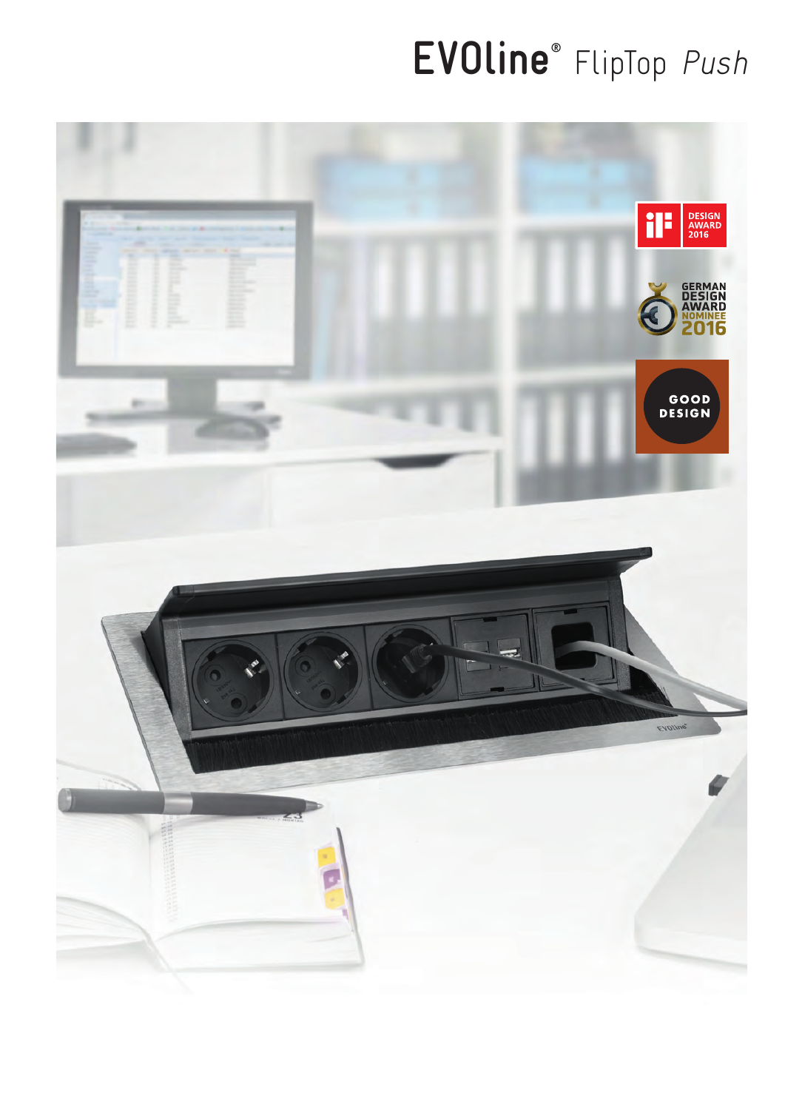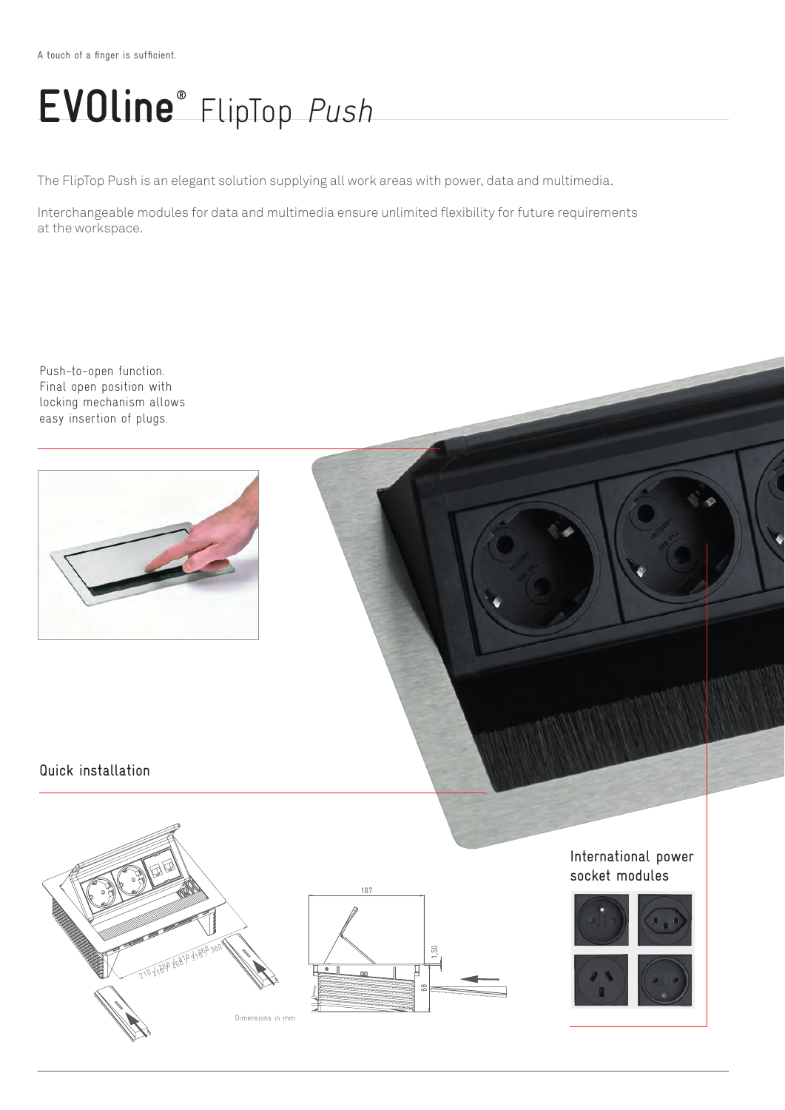The FlipTop Push is an elegant solution supplying all work areas with power, data and multimedia.

Interchangeable modules for data and multimedia ensure unlimited flexibility for future requirements at the workspace.

Push-to-open function. Final open position with locking mechanism allows easy insertion of plugs.



Quick installation





### International power socket modules



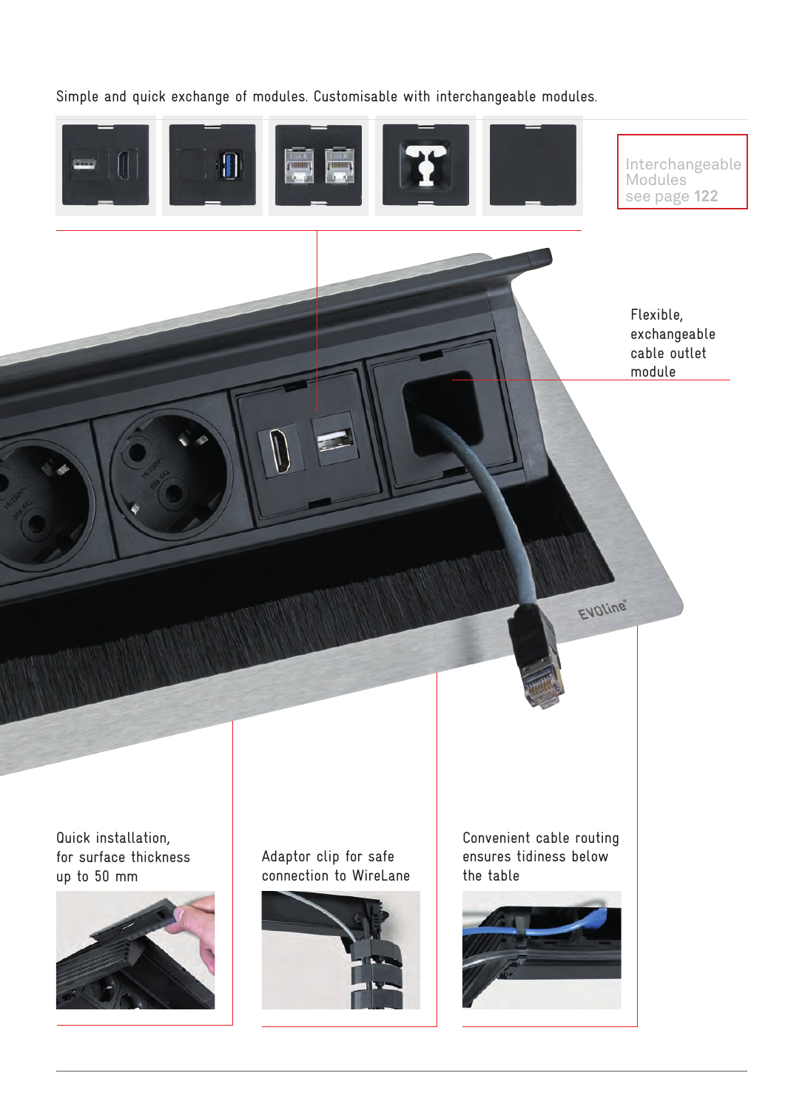Simple and quick exchange of modules. Customisable with interchangeable modules.

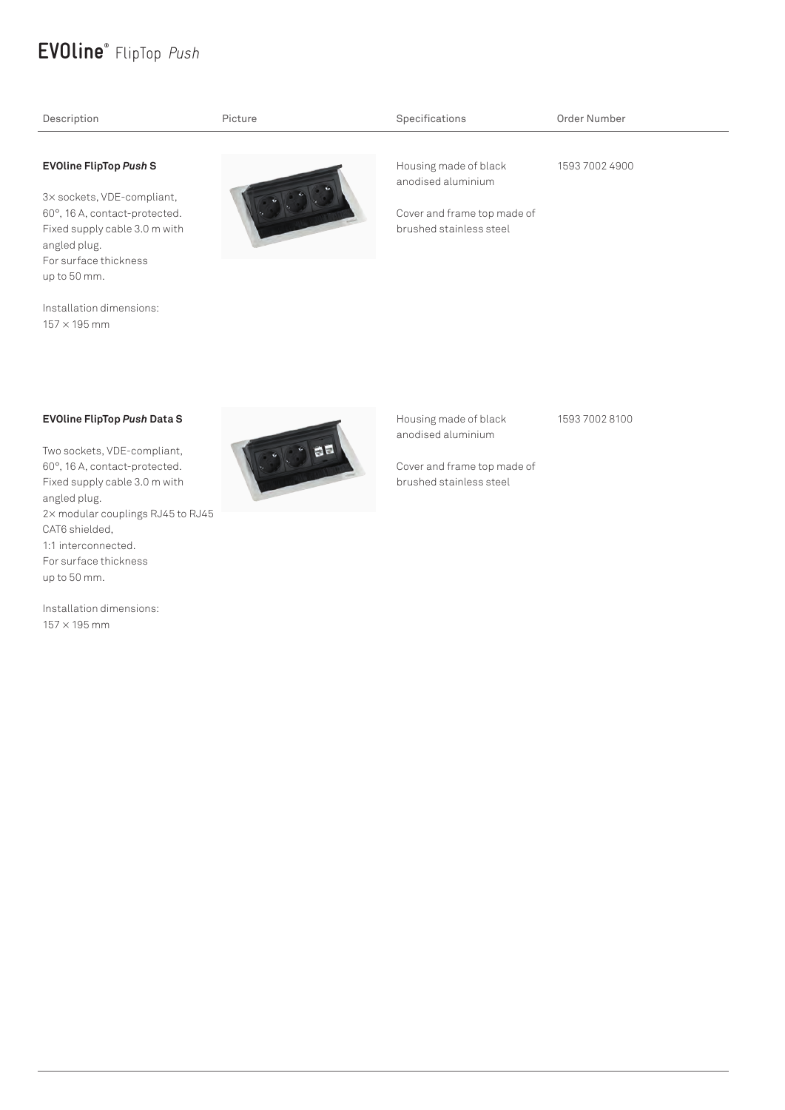| Description                                                                                                                                           | Picture | Specifications                                         | Order Number   |
|-------------------------------------------------------------------------------------------------------------------------------------------------------|---------|--------------------------------------------------------|----------------|
| <b>EVOline FlipTop Push S</b>                                                                                                                         |         | Housing made of black<br>anodised aluminium            | 1593 7002 4900 |
| 3× sockets, VDE-compliant,<br>60°, 16 A, contact-protected.<br>Fixed supply cable 3.0 m with<br>angled plug.<br>For surface thickness<br>up to 50 mm. |         | Cover and frame top made of<br>brushed stainless steel |                |
| Installation dimensions:<br>$157 \times 195$ mm                                                                                                       |         |                                                        |                |

Two sockets, VDE-compliant, 60°, 16 A, contact-protected. Fixed supply cable 3.0 m with angled plug. 2× modular couplings RJ45 to RJ45 CAT6 shielded, 1:1 interconnected. For surface thickness up to 50 mm.

Installation dimensions:  $157 \times 195$  mm



anodised aluminium

1593 7002 8100

Cover and frame top made of brushed stainless steel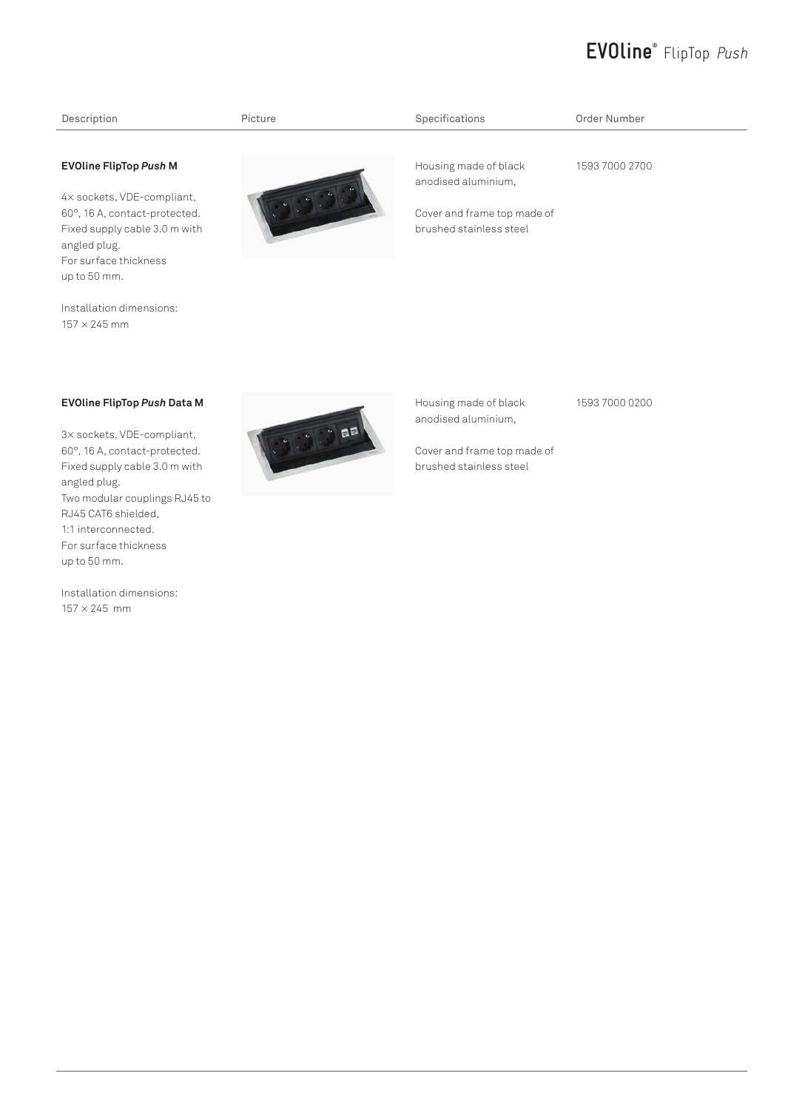| Description                                                                                                                                                                            | Picture | Specifications                                                                                         | Order Number   |
|----------------------------------------------------------------------------------------------------------------------------------------------------------------------------------------|---------|--------------------------------------------------------------------------------------------------------|----------------|
| <b>EVOline FlipTop Push M</b><br>4× sockets, VDE-compliant,<br>60°, 16 A, contact-protected.<br>Fixed supply cable 3.0 m with<br>angled plug.<br>For surface thickness<br>up to 50 mm. |         | Housing made of black<br>anodised aluminium,<br>Cover and frame top made of<br>brushed stainless steel | 1593 7000 2700 |
| Installation dimensions:<br>$157 \times 245$ mm                                                                                                                                        |         |                                                                                                        |                |

3× sockets, VDE-compliant, 60°, 16 A, contact-protected. Fixed supply cable 3.0 m with angled plug. Two modular couplings RJ45 to RJ45 CAT6 shielded, 1:1 interconnected. For surface thickness up to 50 mm.

Installation dimensions:  $157 \times 245$  mm



anodised aluminium,

1593 7000 0200

Cover and frame top made of brushed stainless steel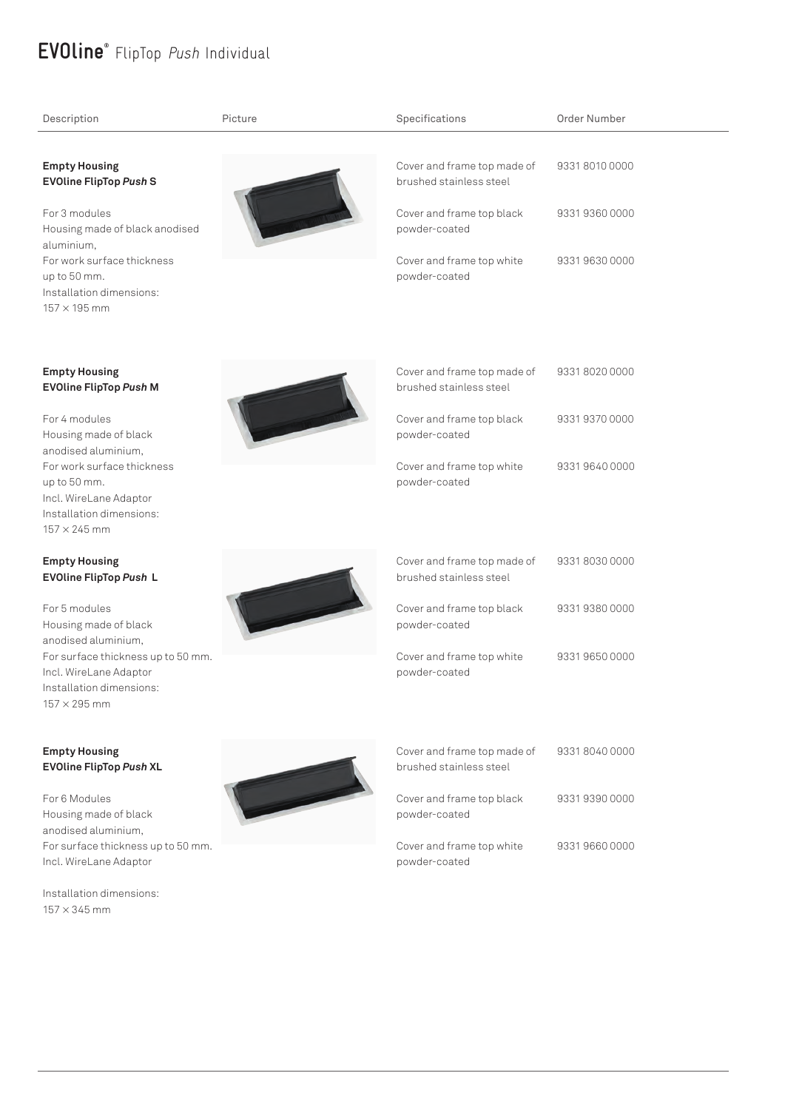## **EVOline®** FlipTop Push Individual

| Description                                                                                                                                                                                                             | Picture | Specifications                                                                                                                                     | Order Number                                       |
|-------------------------------------------------------------------------------------------------------------------------------------------------------------------------------------------------------------------------|---------|----------------------------------------------------------------------------------------------------------------------------------------------------|----------------------------------------------------|
| <b>Empty Housing</b><br><b>EVOline FlipTop Push S</b><br>For 3 modules<br>Housing made of black anodised<br>aluminium,<br>For work surface thickness<br>up to 50 mm.<br>Installation dimensions:<br>$157 \times 195$ mm |         | Cover and frame top made of<br>brushed stainless steel<br>Cover and frame top black<br>powder-coated<br>Cover and frame top white<br>powder-coated | 9331 8010 0000<br>9331 9360 0000<br>9331 9630 0000 |
| <b>Empty Housing</b><br><b>EVOline FlipTop Push M</b>                                                                                                                                                                   |         | Cover and frame top made of<br>brushed stainless steel                                                                                             | 9331 8020 0000                                     |
| For 4 modules<br>Housing made of black<br>anodised aluminium,                                                                                                                                                           |         | Cover and frame top black<br>powder-coated                                                                                                         | 9331 9370 0000                                     |
| For work surface thickness<br>up to 50 mm.<br>Incl. WireLane Adaptor<br>Installation dimensions:<br>$157 \times 245$ mm                                                                                                 |         | Cover and frame top white<br>powder-coated                                                                                                         | 9331 9640 0000                                     |
| <b>Empty Housing</b><br><b>EVOline FlipTop Push L</b>                                                                                                                                                                   |         | Cover and frame top made of<br>brushed stainless steel                                                                                             | 9331 8030 0000                                     |
| For 5 modules<br>Housing made of black<br>anodised aluminium,                                                                                                                                                           |         | Cover and frame top black<br>powder-coated                                                                                                         | 9331 9380 0000                                     |
| For surface thickness up to 50 mm.<br>Incl. WireLane Adaptor<br>Installation dimensions:<br>$157 \times 295$ mm                                                                                                         |         | Cover and frame top white<br>powder-coated                                                                                                         | 9331 9650 0000                                     |
| <b>Empty Housing</b><br><b>EVOline FlipTop Push XL</b>                                                                                                                                                                  |         | Cover and frame top made of<br>brushed stainless steel                                                                                             | 9331 8040 0000                                     |
| For 6 Modules<br>Housing made of black<br>anodised aluminium,<br>For surface thickness up to 50 mm.<br>Incl. WireLane Adaptor                                                                                           |         | Cover and frame top black<br>powder-coated                                                                                                         | 9331 9390 0000                                     |
|                                                                                                                                                                                                                         |         | Cover and frame top white<br>powder-coated                                                                                                         | 9331 9660 0000                                     |
| Installation dimensions:<br>$157 \times 345$ mm                                                                                                                                                                         |         |                                                                                                                                                    |                                                    |
|                                                                                                                                                                                                                         |         |                                                                                                                                                    |                                                    |